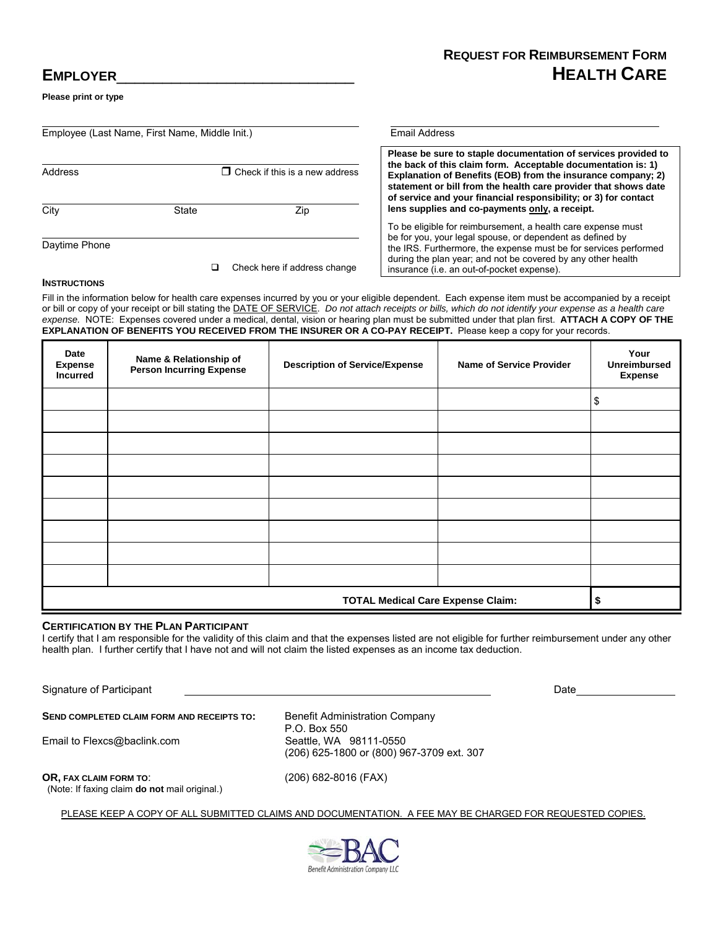# **REQUEST FOR REIMBURSEMENT FORM HEALTH CARE**

# **EMPLOYER**\_\_\_\_\_\_\_\_\_\_\_\_\_\_\_\_\_\_\_\_\_\_\_\_\_\_

**Please print or type** 

| Employee (Last Name, First Name, Middle Init.) |                                       |                              | <b>Email Address</b>                                                                                                                                                                                                                                                                                                                 |  |
|------------------------------------------------|---------------------------------------|------------------------------|--------------------------------------------------------------------------------------------------------------------------------------------------------------------------------------------------------------------------------------------------------------------------------------------------------------------------------------|--|
| Address                                        | $\Box$ Check if this is a new address |                              | Please be sure to staple documentation of services provided to<br>the back of this claim form. Acceptable documentation is: 1)<br>Explanation of Benefits (EOB) from the insurance company; 2)<br>statement or bill from the health care provider that shows date<br>of service and your financial responsibility; or 3) for contact |  |
| City                                           | State                                 | Zip                          | lens supplies and co-payments only, a receipt.                                                                                                                                                                                                                                                                                       |  |
|                                                |                                       |                              | To be eligible for reimbursement, a health care expense must<br>be for you, your legal spouse, or dependent as defined by                                                                                                                                                                                                            |  |
| Daytime Phone                                  |                                       | Check here if address change | the IRS. Furthermore, the expense must be for services performed<br>during the plan year; and not be covered by any other health<br>insurance (i.e. an out-of-pocket expense).                                                                                                                                                       |  |
| <b>1.</b>                                      |                                       |                              |                                                                                                                                                                                                                                                                                                                                      |  |

#### **INSTRUCTIONS**

Fill in the information below for health care expenses incurred by you or your eligible dependent. Each expense item must be accompanied by a receipt or bill or copy of your receipt or bill stating the DATE OF SERVICE. *Do not attach receipts or bills, which do not identify your expense as a health care expense.* NOTE: Expenses covered under a medical, dental, vision or hearing plan must be submitted under that plan first. **ATTACH A COPY OF THE EXPLANATION OF BENEFITS YOU RECEIVED FROM THE INSURER OR A CO-PAY RECEIPT.** Please keep a copy for your records.

| Date<br><b>Expense</b><br><b>Incurred</b> | Name & Relationship of<br><b>Person Incurring Expense</b> | <b>Description of Service/Expense</b> | <b>Name of Service Provider</b> | Your<br><b>Unreimbursed</b><br><b>Expense</b> |  |
|-------------------------------------------|-----------------------------------------------------------|---------------------------------------|---------------------------------|-----------------------------------------------|--|
|                                           |                                                           |                                       |                                 | \$                                            |  |
|                                           |                                                           |                                       |                                 |                                               |  |
|                                           |                                                           |                                       |                                 |                                               |  |
|                                           |                                                           |                                       |                                 |                                               |  |
|                                           |                                                           |                                       |                                 |                                               |  |
|                                           |                                                           |                                       |                                 |                                               |  |
|                                           |                                                           |                                       |                                 |                                               |  |
|                                           |                                                           |                                       |                                 |                                               |  |
|                                           |                                                           |                                       |                                 |                                               |  |
| <b>TOTAL Medical Care Expense Claim:</b>  |                                                           |                                       |                                 |                                               |  |

### **CERTIFICATION BY THE PLAN PARTICIPANT**

I certify that I am responsible for the validity of this claim and that the expenses listed are not eligible for further reimbursement under any other health plan. I further certify that I have not and will not claim the listed expenses as an income tax deduction.

Signature of Participant **Date of Participant** Date of Participant Date of Participant Date of Participant Date of Participant Date of Participant Date of Participant Date of Participant Date of Participant Date of Partici SEND COMPLETED CLAIM FORM AND RECEIPTS TO: Benefit Administration Company P.O. Box 550 Email to Flexcs@baclink.com (206) 625-1800 or (800) 967-3709 ext. 307 **OR, FAX CLAIM FORM TO**: (206) 682-8016 (FAX) (Note: If faxing claim **do not** mail original.)

PLEASE KEEP A COPY OF ALL SUBMITTED CLAIMS AND DOCUMENTATION. A FEE MAY BE CHARGED FOR REQUESTED COPIES.